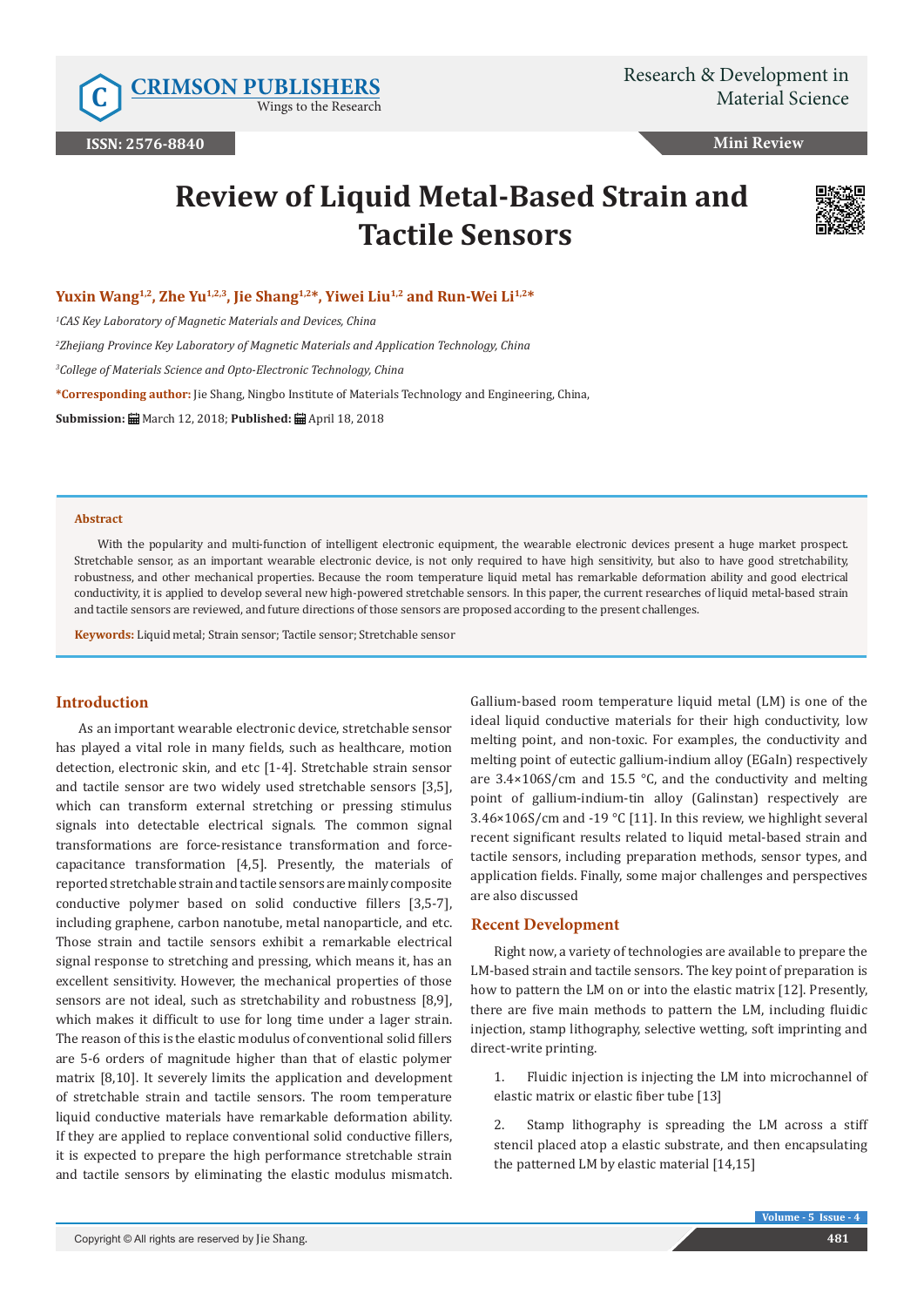Wings to the Research

**Mini Review**

# **Review of Liquid Metal-Based Strain and Tactile Sensors**



Yuxin Wang<sup>1,2</sup>, Zhe Yu<sup>1,2,3</sup>, Jie Shang<sup>1,2\*</sup>, Yiwei Liu<sup>1,2</sup> and Run-Wei Li<sup>1,2\*</sup>

*1 CAS Key Laboratory of Magnetic Materials and Devices, China*

*2 Zhejiang Province Key Laboratory of Magnetic Materials and Application Technology, China*

*3 College of Materials Science and Opto-Electronic Technology, China*

**\*Corresponding author:** Jie Shang, Ningbo Institute of Materials Technology and Engineering, China,

**Submission:** March 12, 2018; **Published:** April 18, 2018

#### **Abstract**

With the popularity and multi-function of intelligent electronic equipment, the wearable electronic devices present a huge market prospect. Stretchable sensor, as an important wearable electronic device, is not only required to have high sensitivity, but also to have good stretchability, robustness, and other mechanical properties. Because the room temperature liquid metal has remarkable deformation ability and good electrical conductivity, it is applied to develop several new high-powered stretchable sensors. In this paper, the current researches of liquid metal-based strain and tactile sensors are reviewed, and future directions of those sensors are proposed according to the present challenges.

**Keywords:** Liquid metal; Strain sensor; Tactile sensor; Stretchable sensor

### **Introduction**

As an important wearable electronic device, stretchable sensor has played a vital role in many fields, such as healthcare, motion detection, electronic skin, and etc [1-4]. Stretchable strain sensor and tactile sensor are two widely used stretchable sensors [3,5], which can transform external stretching or pressing stimulus signals into detectable electrical signals. The common signal transformations are force-resistance transformation and forcecapacitance transformation [4,5]. Presently, the materials of reported stretchable strain and tactile sensors are mainly composite conductive polymer based on solid conductive fillers [3,5-7], including graphene, carbon nanotube, metal nanoparticle, and etc. Those strain and tactile sensors exhibit a remarkable electrical signal response to stretching and pressing, which means it, has an excellent sensitivity. However, the mechanical properties of those sensors are not ideal, such as stretchability and robustness [8,9], which makes it difficult to use for long time under a lager strain. The reason of this is the elastic modulus of conventional solid fillers are 5-6 orders of magnitude higher than that of elastic polymer matrix [8,10]. It severely limits the application and development of stretchable strain and tactile sensors. The room temperature liquid conductive materials have remarkable deformation ability. If they are applied to replace conventional solid conductive fillers, it is expected to prepare the high performance stretchable strain and tactile sensors by eliminating the elastic modulus mismatch. Gallium-based room temperature liquid metal (LM) is one of the ideal liquid conductive materials for their high conductivity, low melting point, and non-toxic. For examples, the conductivity and melting point of eutectic gallium-indium alloy (EGaIn) respectively are  $3.4 \times 106$ S/cm and  $15.5$  °C, and the conductivity and melting point of gallium-indium-tin alloy (Galinstan) respectively are 3.46×106S/cm and -19 °C [11]. In this review, we highlight several recent significant results related to liquid metal-based strain and tactile sensors, including preparation methods, sensor types, and application fields. Finally, some major challenges and perspectives are also discussed

#### **Recent Development**

Right now, a variety of technologies are available to prepare the LM-based strain and tactile sensors. The key point of preparation is how to pattern the LM on or into the elastic matrix [12]. Presently, there are five main methods to pattern the LM, including fluidic injection, stamp lithography, selective wetting, soft imprinting and direct-write printing.

1. Fluidic injection is injecting the LM into microchannel of elastic matrix or elastic fiber tube [13]

2. Stamp lithography is spreading the LM across a stiff stencil placed atop a elastic substrate, and then encapsulating the patterned LM by elastic material [14,15]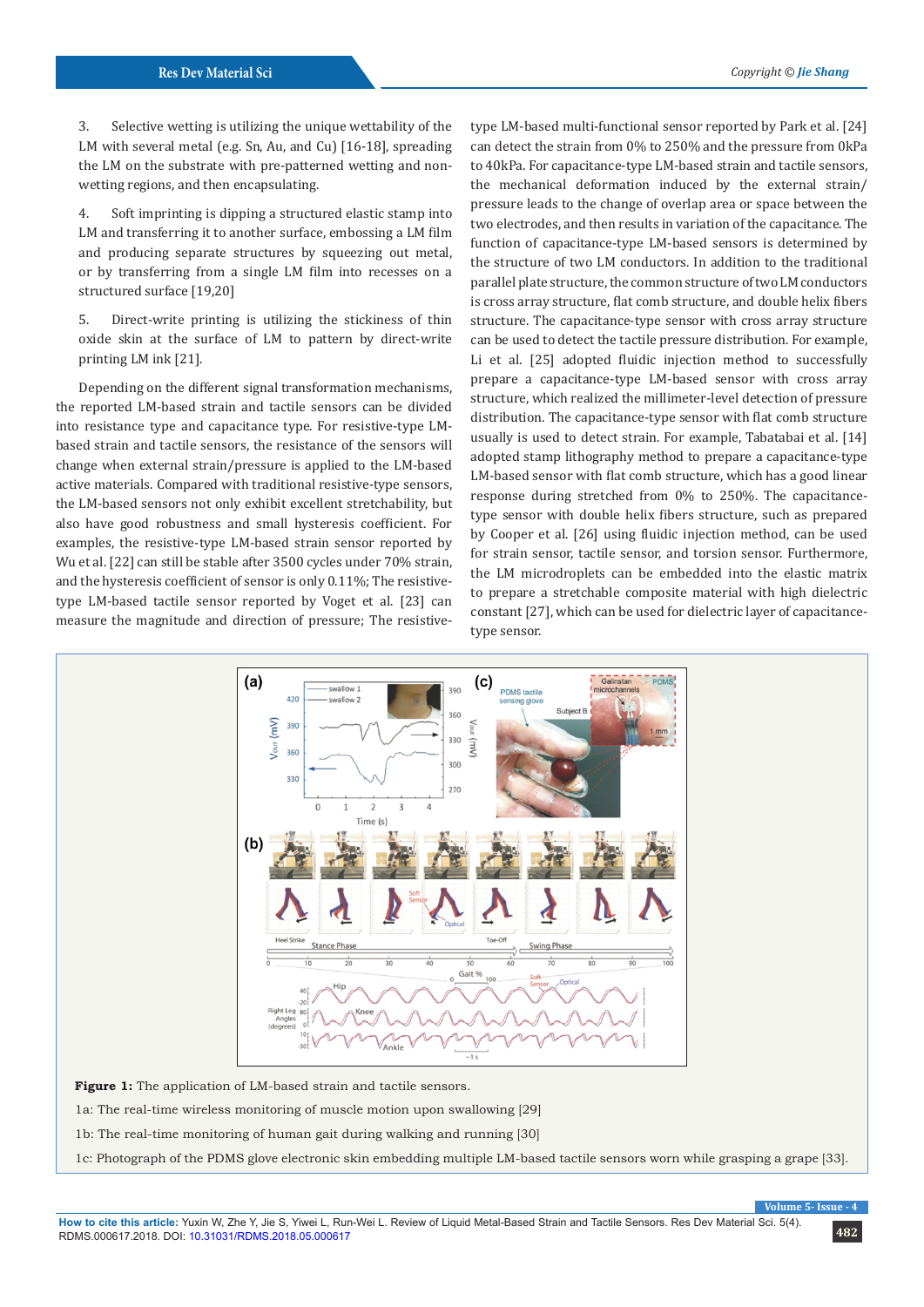3. Selective wetting is utilizing the unique wettability of the LM with several metal (e.g. Sn, Au, and Cu) [16-18], spreading the LM on the substrate with pre-patterned wetting and nonwetting regions, and then encapsulating.

4. Soft imprinting is dipping a structured elastic stamp into LM and transferring it to another surface, embossing a LM film and producing separate structures by squeezing out metal, or by transferring from a single LM film into recesses on a structured surface [19,20]

5. Direct-write printing is utilizing the stickiness of thin oxide skin at the surface of LM to pattern by direct-write printing LM ink [21].

Depending on the different signal transformation mechanisms, the reported LM-based strain and tactile sensors can be divided into resistance type and capacitance type. For resistive-type LMbased strain and tactile sensors, the resistance of the sensors will change when external strain/pressure is applied to the LM-based active materials. Compared with traditional resistive-type sensors, the LM-based sensors not only exhibit excellent stretchability, but also have good robustness and small hysteresis coefficient. For examples, the resistive-type LM-based strain sensor reported by Wu et al. [22] can still be stable after 3500 cycles under 70% strain, and the hysteresis coefficient of sensor is only 0.11%; The resistivetype LM-based tactile sensor reported by Voget et al. [23] can measure the magnitude and direction of pressure; The resistivetype LM-based multi-functional sensor reported by Park et al. [24] can detect the strain from 0% to 250% and the pressure from 0kPa to 40kPa. For capacitance-type LM-based strain and tactile sensors, the mechanical deformation induced by the external strain/ pressure leads to the change of overlap area or space between the two electrodes, and then results in variation of the capacitance. The function of capacitance-type LM-based sensors is determined by the structure of two LM conductors. In addition to the traditional parallel plate structure, the common structure of two LM conductors is cross array structure, flat comb structure, and double helix fibers structure. The capacitance-type sensor with cross array structure can be used to detect the tactile pressure distribution. For example, Li et al. [25] adopted fluidic injection method to successfully prepare a capacitance-type LM-based sensor with cross array structure, which realized the millimeter-level detection of pressure distribution. The capacitance-type sensor with flat comb structure usually is used to detect strain. For example, Tabatabai et al. [14] adopted stamp lithography method to prepare a capacitance-type LM-based sensor with flat comb structure, which has a good linear response during stretched from 0% to 250%. The capacitancetype sensor with double helix fibers structure, such as prepared by Cooper et al. [26] using fluidic injection method, can be used for strain sensor, tactile sensor, and torsion sensor. Furthermore, the LM microdroplets can be embedded into the elastic matrix to prepare a stretchable composite material with high dielectric constant [27], which can be used for dielectric layer of capacitancetype sensor.



Figure 1: The application of LM-based strain and tactile sensors.

1a: The real-time wireless monitoring of muscle motion upon swallowing [29]

1b: The real-time monitoring of human gait during walking and running [30]

1c: Photograph of the PDMS glove electronic skin embedding multiple LM-based tactile sensors worn while grasping a grape [33].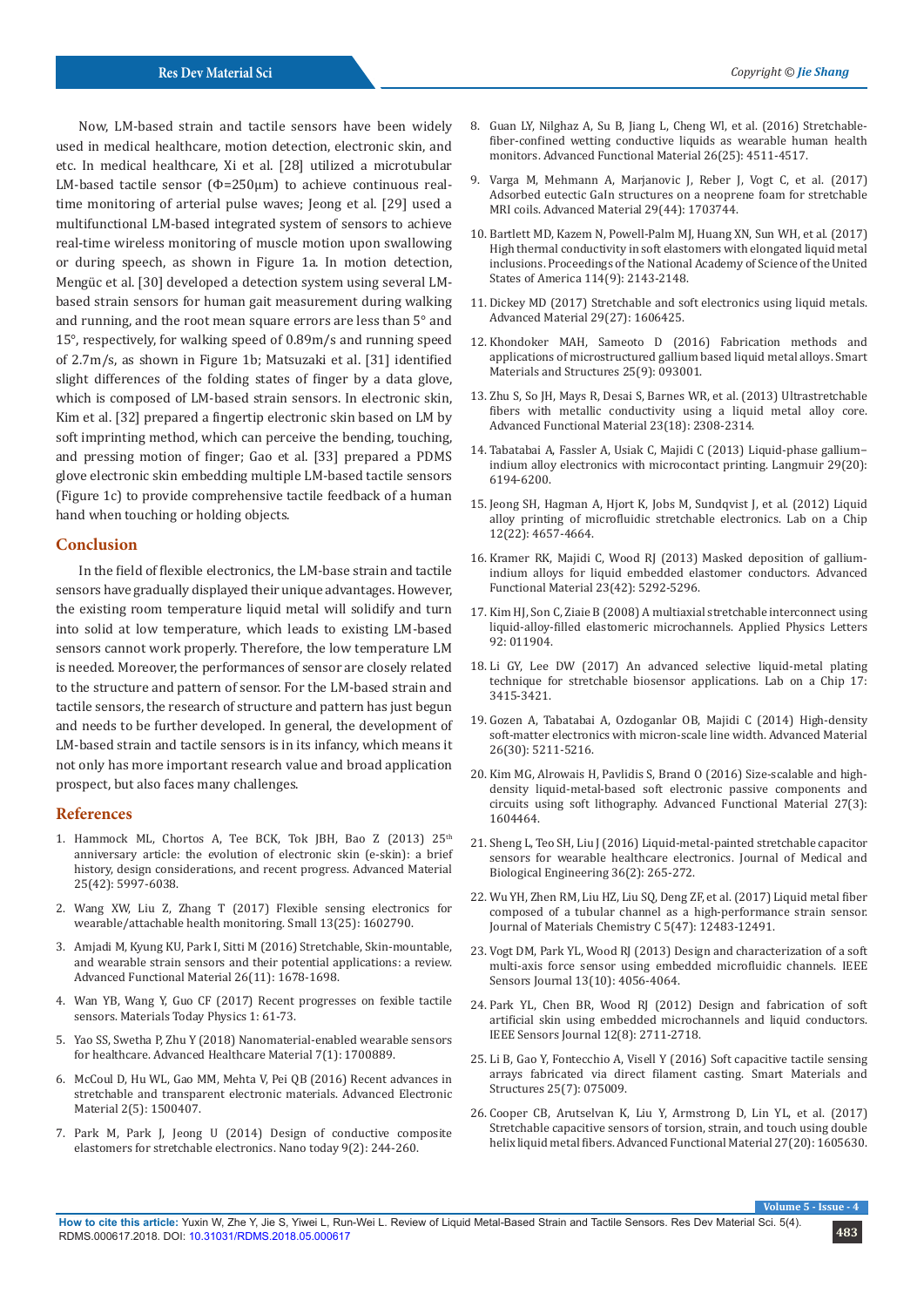Now, LM-based strain and tactile sensors have been widely used in medical healthcare, motion detection, electronic skin, and etc. In medical healthcare, Xi et al. [28] utilized a microtubular LM-based tactile sensor (Φ=250μm) to achieve continuous realtime monitoring of arterial pulse waves; Jeong et al. [29] used a multifunctional LM-based integrated system of sensors to achieve real-time wireless monitoring of muscle motion upon swallowing or during speech, as shown in Figure 1a. In motion detection, Mengüc et al. [30] developed a detection system using several LMbased strain sensors for human gait measurement during walking and running, and the root mean square errors are less than 5° and 15°, respectively, for walking speed of 0.89m/s and running speed of 2.7m/s, as shown in Figure 1b; Matsuzaki et al. [31] identified slight differences of the folding states of finger by a data glove, which is composed of LM-based strain sensors. In electronic skin, Kim et al. [32] prepared a fingertip electronic skin based on LM by soft imprinting method, which can perceive the bending, touching, and pressing motion of finger; Gao et al. [33] prepared a PDMS glove electronic skin embedding multiple LM-based tactile sensors (Figure 1c) to provide comprehensive tactile feedback of a human hand when touching or holding objects.

#### **Conclusion**

In the field of flexible electronics, the LM-base strain and tactile sensors have gradually displayed their unique advantages. However, the existing room temperature liquid metal will solidify and turn into solid at low temperature, which leads to existing LM-based sensors cannot work properly. Therefore, the low temperature LM is needed. Moreover, the performances of sensor are closely related to the structure and pattern of sensor. For the LM-based strain and tactile sensors, the research of structure and pattern has just begun and needs to be further developed. In general, the development of LM-based strain and tactile sensors is in its infancy, which means it not only has more important research value and broad application prospect, but also faces many challenges.

#### **References**

- 1. Hammock ML, Chortos A, Tee BCK, Tok JBH, Bao Z (2013) 25<sup>th</sup> [anniversary article: the evolution of electronic skin \(e-skin\): a brief](https://www.ncbi.nlm.nih.gov/pubmed/24151185)  [history, design considerations, and recent progress. Advanced Material](https://www.ncbi.nlm.nih.gov/pubmed/24151185)  [25\(42\): 5997-6038.](https://www.ncbi.nlm.nih.gov/pubmed/24151185)
- 2. [Wang XW, Liu Z, Zhang T \(2017\) Flexible sensing electronics for](https://www.ncbi.nlm.nih.gov/pubmed/28306196)  [wearable/attachable health monitoring. Small 13\(25\): 1602790.](https://www.ncbi.nlm.nih.gov/pubmed/28306196)
- 3. [Amjadi M, Kyung KU, Park I, Sitti M \(2016\) Stretchable, Skin-mountable,](https://onlinelibrary.wiley.com/doi/abs/10.1002/adfm.201504755)  [and wearable strain sensors and their potential applications: a review.](https://onlinelibrary.wiley.com/doi/abs/10.1002/adfm.201504755)  [Advanced Functional Material 26\(11\): 1678-1698.](https://onlinelibrary.wiley.com/doi/abs/10.1002/adfm.201504755)
- 4. [Wan YB, Wang Y, Guo CF \(2017\) Recent progresses on fexible tactile](https://www.sciencedirect.com/science/article/pii/S2542529317301001)  [sensors. Materials Today Physics 1: 61-73.](https://www.sciencedirect.com/science/article/pii/S2542529317301001)
- 5. [Yao SS, Swetha P, Zhu Y \(2018\) Nanomaterial-enabled wearable sensors](https://www.ncbi.nlm.nih.gov/pubmed/29193793)  [for healthcare. Advanced Healthcare Material 7\(1\): 1700889.](https://www.ncbi.nlm.nih.gov/pubmed/29193793)
- 6. McCoul D, Hu WL, Gao MM, Mehta V, Pei QB (2016) Recent advances in stretchable and transparent electronic materials. Advanced Electronic Material 2(5): 1500407.
- 7. [Park M, Park J, Jeong U \(2014\) Design of conductive composite](https://www.sciencedirect.com/science/article/pii/S1748013214000541)  [elastomers for stretchable electronics. Nano today 9\(2\): 244-260.](https://www.sciencedirect.com/science/article/pii/S1748013214000541)
- 8. [Guan LY, Nilghaz A, Su B, Jiang L, Cheng Wl, et al. \(2016\) Stretchable](https://onlinelibrary.wiley.com/doi/abs/10.1002/adfm.201600443)[fiber-confined wetting conductive liquids as wearable human health](https://onlinelibrary.wiley.com/doi/abs/10.1002/adfm.201600443) [monitors. Advanced Functional Material 26\(25\): 4511-4517.](https://onlinelibrary.wiley.com/doi/abs/10.1002/adfm.201600443)
- 9. [Varga M, Mehmann A, Marjanovic J, Reber J, Vogt C, et al. \(2017\)](https://www.ncbi.nlm.nih.gov/pubmed/29027724) [Adsorbed eutectic GaIn structures on a neoprene foam for stretchable](https://www.ncbi.nlm.nih.gov/pubmed/29027724) [MRI coils. Advanced Material 29\(44\): 1703744.](https://www.ncbi.nlm.nih.gov/pubmed/29027724)
- 10. [Bartlett MD, Kazem N, Powell-Palm MJ, Huang XN, Sun WH, et al. \(2017\)](https://www.ncbi.nlm.nih.gov/pubmed/28193902/) [High thermal conductivity in soft elastomers with elongated liquid metal](https://www.ncbi.nlm.nih.gov/pubmed/28193902/) [inclusions. Proceedings of the National Academy of Science of the United](https://www.ncbi.nlm.nih.gov/pubmed/28193902/) [States of America 114\(9\): 2143-2148.](https://www.ncbi.nlm.nih.gov/pubmed/28193902/)
- 11. [Dickey MD \(2017\) Stretchable and soft electronics using liquid metals.](https://www.ncbi.nlm.nih.gov/pubmed/28417536) [Advanced Material 29\(27\): 1606425.](https://www.ncbi.nlm.nih.gov/pubmed/28417536)
- 12. [Khondoker MAH, Sameoto D \(2016\) Fabrication methods and](http://iopscience.iop.org/article/10.1088/0964-1726/25/9/093001) [applications of microstructured gallium based liquid metal alloys. Smart](http://iopscience.iop.org/article/10.1088/0964-1726/25/9/093001) [Materials and Structures 25\(9\): 093001.](http://iopscience.iop.org/article/10.1088/0964-1726/25/9/093001)
- 13. [Zhu S, So JH, Mays R, Desai S, Barnes WR, et al. \(2013\) Ultrastretchable](https://onlinelibrary.wiley.com/doi/abs/10.1002/adfm.201202405) [fibers with metallic conductivity using a liquid metal alloy core.](https://onlinelibrary.wiley.com/doi/abs/10.1002/adfm.201202405) [Advanced Functional Material 23\(18\): 2308-2314.](https://onlinelibrary.wiley.com/doi/abs/10.1002/adfm.201202405)
- 14. [Tabatabai A, Fassler A, Usiak C, Majidi C \(2013\) Liquid-phase gallium−](https://www.ncbi.nlm.nih.gov/pubmed/23659455) [indium alloy electronics with microcontact printing. Langmuir 29\(20\):](https://www.ncbi.nlm.nih.gov/pubmed/23659455) [6194-6200.](https://www.ncbi.nlm.nih.gov/pubmed/23659455)
- 15. [Jeong SH, Hagman A, Hjort K, Jobs M, Sundqvist J, et al. \(2012\) Liquid](https://www.ncbi.nlm.nih.gov/pubmed/23038427) [alloy printing of microfluidic stretchable electronics. Lab on a Chip](https://www.ncbi.nlm.nih.gov/pubmed/23038427) [12\(22\): 4657-4664.](https://www.ncbi.nlm.nih.gov/pubmed/23038427)
- 16. [Kramer RK, Majidi C, Wood RJ \(2013\) Masked deposition of gallium](https://onlinelibrary.wiley.com/doi/abs/10.1002/adfm.201203589)[indium alloys for liquid embedded elastomer conductors. Advanced](https://onlinelibrary.wiley.com/doi/abs/10.1002/adfm.201203589) [Functional Material 23\(42\): 5292-5296.](https://onlinelibrary.wiley.com/doi/abs/10.1002/adfm.201203589)
- 17. [Kim HJ, Son C, Ziaie B \(2008\) A multiaxial stretchable interconnect using](https://aip.scitation.org/doi/abs/10.1063/1.2829595) [liquid-alloy-filled elastomeric microchannels. Applied Physics Letters](https://aip.scitation.org/doi/abs/10.1063/1.2829595) [92: 011904.](https://aip.scitation.org/doi/abs/10.1063/1.2829595)
- 18. Li GY, Lee DW (2017) An advanced selective liquid-metal plating technique for stretchable biosensor applications. Lab on a Chip 17: 3415-3421.
- 19. [Gozen A, Tabatabai A, Ozdoganlar OB, Majidi C \(2014\) High-density](https://www.ncbi.nlm.nih.gov/pubmed/24899382) [soft-matter electronics with micron-scale line width. Advanced Material](https://www.ncbi.nlm.nih.gov/pubmed/24899382) [26\(30\): 5211-5216.](https://www.ncbi.nlm.nih.gov/pubmed/24899382)
- 20. [Kim MG, Alrowais H, Pavlidis S, Brand O \(2016\) Size-scalable and high](https://onlinelibrary.wiley.com/doi/abs/10.1002/adfm.201604466)[density liquid-metal-based soft electronic passive components and](https://onlinelibrary.wiley.com/doi/abs/10.1002/adfm.201604466) [circuits using soft lithography. Advanced Functional Material 27\(3\):](https://onlinelibrary.wiley.com/doi/abs/10.1002/adfm.201604466) [1604464.](https://onlinelibrary.wiley.com/doi/abs/10.1002/adfm.201604466)
- 21. [Sheng L, Teo SH, Liu J \(2016\) Liquid-metal-painted stretchable capacitor](https://www.infona.pl/resource/bwmeta1.element.springer-doi-10_1007-S40846-016-0129-9) [sensors for wearable healthcare electronics. Journal of Medical and](https://www.infona.pl/resource/bwmeta1.element.springer-doi-10_1007-S40846-016-0129-9) [Biological Engineering 36\(2\): 265-272.](https://www.infona.pl/resource/bwmeta1.element.springer-doi-10_1007-S40846-016-0129-9)
- 22. Wu YH, Zhen RM, Liu HZ, Liu SQ, Deng ZF, et al. (2017) Liquid metal fiber composed of a tubular channel as a high-performance strain sensor. Journal of Materials Chemistry C 5(47): 12483-12491.
- 23. [Vogt DM, Park YL, Wood RJ \(2013\) Design and characterization of a soft](https://ieeexplore.ieee.org/document/6553251/) [multi-axis force sensor using embedded microfluidic channels. IEEE](https://ieeexplore.ieee.org/document/6553251/) [Sensors Journal 13\(10\): 4056-4064.](https://ieeexplore.ieee.org/document/6553251/)
- 24. [Park YL, Chen BR, Wood RJ \(2012\) Design and fabrication of soft](https://ieeexplore.ieee.org/document/6203551/) [artificial skin using embedded microchannels and liquid conductors.](https://ieeexplore.ieee.org/document/6203551/) [IEEE Sensors Journal 12\(8\): 2711-2718.](https://ieeexplore.ieee.org/document/6203551/)
- 25. [Li B, Gao Y, Fontecchio A, Visell Y \(2016\) Soft capacitive tactile sensing](http://iopscience.iop.org/article/10.1088/0964-1726/25/7/075009/meta) [arrays fabricated via direct filament casting. Smart Materials and](http://iopscience.iop.org/article/10.1088/0964-1726/25/7/075009/meta) [Structures 25\(7\): 075009.](http://iopscience.iop.org/article/10.1088/0964-1726/25/7/075009/meta)
- 26. [Cooper CB, Arutselvan K, Liu Y, Armstrong D, Lin YL, et al. \(2017\)](https://onlinelibrary.wiley.com/doi/abs/10.1002/adfm.201770124) [Stretchable capacitive sensors of torsion, strain, and touch using double](https://onlinelibrary.wiley.com/doi/abs/10.1002/adfm.201770124) [helix liquid metal fibers. Advanced Functional Material 27\(20\): 1605630.](https://onlinelibrary.wiley.com/doi/abs/10.1002/adfm.201770124)

**Volume 5**